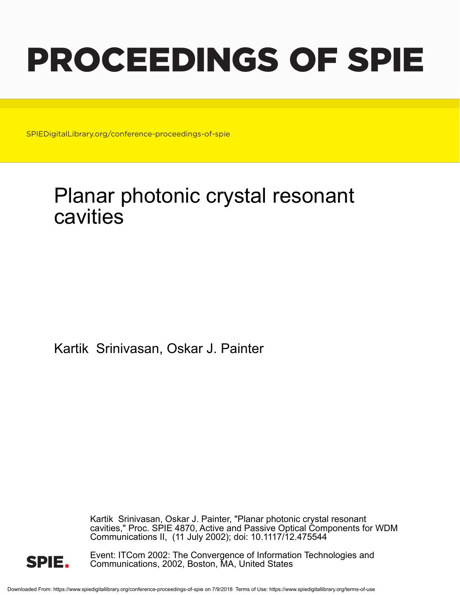# PROCEEDINGS OF SPIE

SPIEDigitalLibrary.org/conference-proceedings-of-spie

## Planar photonic crystal resonant cavities

Kartik Srinivasan, Oskar J. Painter

Kartik Srinivasan, Oskar J. Painter, "Planar photonic crystal resonant cavities," Proc. SPIE 4870, Active and Passive Optical Components for WDM Communications II, (11 July 2002); doi: 10.1117/12.475544



Event: ITCom 2002: The Convergence of Information Technologies and Communications, 2002, Boston, MA, United States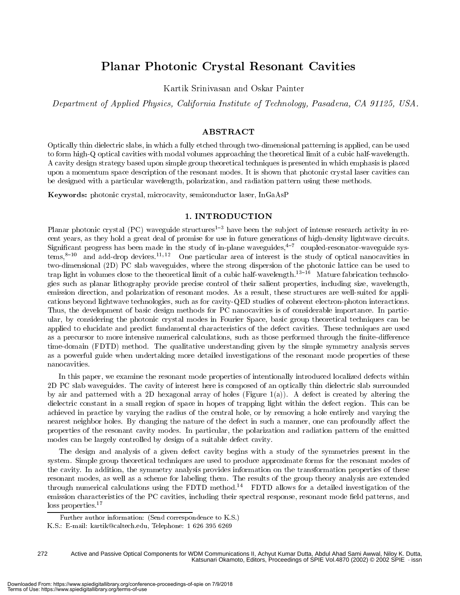### Planar Photonic Crystal Resonant Cavities

Kartik Srinivasan and Oskar Painter

Department of Applied Physics, California Institute of Technology, Pasadena, CA 91125, USA.

#### ABSTRACT

Optically thin dielectric slabs, in which a fully etched through two-dimensional patterning is applied, can be used to form high-Q optical cavities with modal volumes approaching the theoretical limit of a cubic half-wavelength. A cavity design strategy based upon simple group theoretical techniques is presented in which emphasis is placed upon a momentum space description of the resonant modes. It is shown that photonic crystal laser cavities can be designed with a particular wavelength, polarization, and radiation pattern using these methods.

Keywords: photonic crystal, microcavity, semiconductor laser, InGaAsP

#### 1. INTRODUCTION

Planar photonic crystal (PC) waveguide structures<sup>1-3</sup> have been the subject of intense research activity in recent years, as they hold a great deal of promise for use in future generations of high-density lightwave circuits. Significant progress has been made in the study of in-plane waveguides,  $4-7$  coupled-resonator-waveguide sys $tems$ ,  $s-10$  and add-drop devices.<sup>11, 12</sup> One particular area of interest is the study of optical nanocavities in two-dimensional (2D) PC slab waveguides, where the strong dispersion of the photonic lattice can be used to trap light in volumes close to the theoretical limit of a cubic half-wavelength.<sup>13-16</sup> Mature fabrication technologies such as planar lithography provide precise control of their salient properties, including size, wavelength, emission direction, and polarization of resonant modes. As a result, these structures are well-suited for applications beyond lightwave technologies, such as for cavity-QED studies of coherent electron-photon interactions. Thus, the development of basic design methods for PC nanocavities is of considerable importance. In particular, by considering the photonic crystal modes in Fourier Space, basic group theoretical techniques can be applied to elucidate and predict fundamental characteristics of the defect cavities. These techniques are used as a precursor to more intensive numerical calculations, such as those performed through the finite-difference time-domain (FDTD) method. The qualitative understanding given by the simple symmetry analysis serves as a powerful guide when undertaking more detailed investigations of the resonant mode properties of these nanocavities.

In this paper, we examine the resonant mode properties of intentionally introduced localized defects within 2D PC slab waveguides. The cavity of interest here is composed of an optically thin dielectric slab surrounded by air and patterned with a 2D hexagonal array of holes (Figure 1(a)). A defect is created by altering the dielectric constant in a small region of space in hopes of trapping light within the defect region. This can be achieved in practice by varying the radius of the central hole, or by removing a hole entirely and varying the nearest neighbor holes. By changing the nature of the defect in such a manner, one can profoundly affect the properties of the resonant cavity modes. In particular, the polarization and radiation pattern of the emitted modes can be largely controlled by design of a suitable defect cavity.

The design and analysis of a given defect cavity begins with a study of the symmetries present in the system. Simple group theoretical techniques are used to produce approximate forms for the resonant modes of the cavity. In addition, the symmetry analysis provides information on the transformation properties of these resonant modes, as well as a scheme for labeling them. The results of the group theory analysis are extended through numerical calculations using the FDTD method.14 FDTD allows for a detailed investigation of the emission characteristics of the PC cavities, including their spectral response, resonant mode field patterns, and loss properties.<sup>17</sup>

Active and Passive Optical Components for WDM Communications II, Achyut Kumar Dutta, Abdul Ahad Sami Awwal, Niloy K. Dutta, Katsunari Okamoto, Editors, Proceedings of SPIE Vol.4870 (2002) © 2002 SPIE · issn 272

Further author information: (Send correspondence to K.S.)

K.S.: E-mail: kartik@caltech.edu, Telephone: <sup>1</sup> 626 395 6269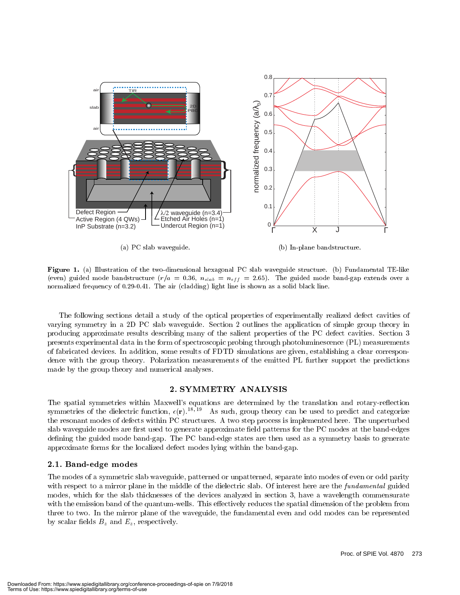

Figure 1. (a) Illustration of the two-dimensional hexagonal PC slab waveguide structure. (b) Fundamental TE-like  $($ even) guided mode bandaba decare (r)  $\alpha$  = 0:00, nslab = nef f = 100). The guided mode band-gap extends over a normalized frequency of 0.29-0.41. The air (cladding) light line is shown as a solid black line.

The following sections detail a study of the optical properties of experimentally realized defect cavities of varying symmetry in a 2D PC slab waveguide. Section 2 outlines the application of simple group theory in producing approximate results describing many of the salient properties of the PC defect cavities. Section 3 presents experimental data in the form of spectroscopic probing through photoluminescence (PL) measurements of fabricated devices. In addition, some results of FDTD simulations are given, establishing a clear correspondence with the group theory. Polarization measurements of the emitted PL further support the predictions made by the group theory and numerical analyses.

#### 2. SYMMETRY ANALYSIS

The spatial symmetries within Maxwell's equations are determined by the translation and rotary-reflection symmetries of the dielectric function,  $\epsilon(\mathbf{r}).^{18,18}$  As such, group theory can be used to predict and categorize the resonant modes of defects within PC structures. A two step process is implemented here. The unperturbed slab waveguide modes are first used to generate approximate field patterns for the PC modes at the band-edges defining the guided mode band-gap. The PC band-edge states are then used as a symmetry basis to generate approximate forms for the localized defect modes lying within the band-gap.

#### 2.1. Band-edge modes

The modes of a symmetric slab waveguide, patterned or unpatterned, separate into modes of even or odd parity with respect to a mirror plane in the middle of the dielectric slab. Of interest here are the *fundamental* guided modes, which for the slab thicknesses of the devices analyzed in section 3, have a wavelength commensurate with the emission band of the quantum-wells. This effectively reduces the spatial dimension of the problem from three to two. In the mirror plane of the waveguide, the fundamental even and odd modes can be represented by scalar fields  $B_z$  and  $E_z$ , respectively.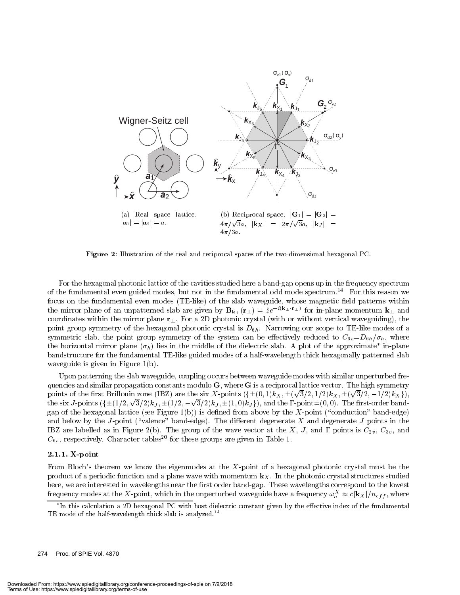

Figure 2: Illustration of the real and reciprocal spaces of the two-dimensional hexagonal PC.

For the hexagonal photonic lattice of the cavities studied here a band-gap opens up in the frequency spectrum of the fundamental even guided modes, but not in the fundamental odd mode spectrum.14 For this reason we focus on the fundamental even modes (TE-like) of the slab waveguide, whose magnetic field patterns within the mirror plane of an unpatterned slab are given by  ${\bf B_{k_\perp}(r_\perp)}=ze^{-\sqrt{4\pi}}$  for in-plane momentum  ${\bf k_\perp}$  and coordinates within the mirror plane  $r_{\perp}$ . For a 2D photonic crystal (with or without vertical waveguiding), the point group symmetry of the hexagonal photonic crystal is  $D_{6h}$ . Narrowing our scope to TE-like modes of a symmetric slab, the point group symmetry of the system can be effectively reduced to  $C_{6v}=D_{6h}/\sigma_h$ , where the horizontal mirror plane  $(\sigma_h)$  lies in the middle of the dielectric slab. A plot of the approximate  $\,$  in-plane  $\,$ bandstructure for the fundamental TE-like guided modes of a half-wavelength thick hexagonally patterned slab waveguide is given in Figure 1(b).

Upon patterning the slab waveguide, coupling occurs between waveguide modes with similar unperturbed frequencies and similar propagation constants modulo  $\bf{G}$ , where  $\bf{G}$  is a reciprocal lattice vector. The high symmetry points of the first Brillouin zone (IBZ) are the six X-points  $(\{\pm (0,1)k_X, \pm (\sqrt{3}/2, 1/2)k_X, \pm (\sqrt{3}/2, -1/2)k_X\}),$ the six J-points  $(\{\pm (1/2,\sqrt{3}/2)k_J,\pm (1/2,-\sqrt{3}/2)k_J,\pm (1,0)k_J\}),$  and the  $\Gamma$ -point=(0,0). The first-order bandgap of the hexagonal lattice (see Figure 1(b)) is defined from above by the X-point ("conduction" band-edge) and below by the J-point ("valence" band-edge). The different degenerate  $X$  and degenerate J points in the IBZ are labelled as in Figure 2(b). The group of the wave vector at the X, J, and  $\Gamma$  points is  $C_{2v}$ ,  $C_{3v}$ , and  $C_{6v}$ , respectively. Character tables<sup>20</sup> for these groups are given in Table 1.

#### 2.1.1. X-point

From Bloch's theorem we know the eigenmodes at the X-point of a hexagonal photonic crystal must be the product of a periodic function and a plane wave with momentum  $\mathbf{k}_X$ . In the photonic crystal structures studied here, we are interested in wavelengths near the first order band-gap. These wavelengths correspond to the lowest frequency modes at the X-point, which in the unperturbed waveguide have a frequency  $\omega_o^X\approx c|{\bf k}_X|/n_{eff},$  where

In this calculation a 2D hexagonal PC with host dielectric constant given by the eective index of the fundamentalTE mode of the half-wavelength thick slab is analyzed.<sup>14</sup>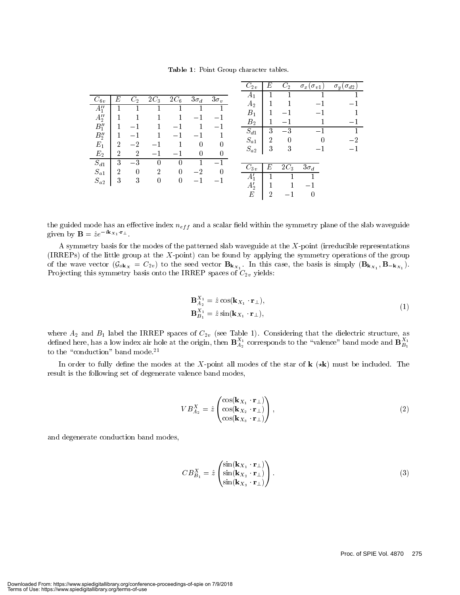Table 1: Point Group character tables.

|                                 |                     |                        |          |          |             |             | $C_{2v}$             | $E\,$  | $C_2$     | $\sigma_x(\sigma_{v1})$ | $\sigma_y(\sigma_{d2})$ |
|---------------------------------|---------------------|------------------------|----------|----------|-------------|-------------|----------------------|--------|-----------|-------------------------|-------------------------|
| $C_{6v}$                        | E                   | $C_2$                  | $2C_3$   | $2C_6$   | $3\sigma_d$ | $3\sigma_v$ | $A_1$<br>$A_2$       |        |           |                         |                         |
| $A_1''$                         |                     |                        |          |          |             |             | $B_1$                |        |           |                         |                         |
| $A_2''$<br>$B_1^{\prime\prime}$ |                     |                        |          |          |             |             | B <sub>2</sub>       |        |           |                         |                         |
| $B_2''$                         |                     |                        |          |          |             |             | $S_{d1}$<br>$S_{a1}$ | 3<br>2 | $-3$<br>0 |                         |                         |
| $E_1$                           | $\overline{2}$      | $-2$                   |          |          | $\Omega$    |             | $S_{a2}$             | 3      | 3         |                         |                         |
| $E_{2}$<br>$S_{d1}$             | $\overline{2}$<br>3 | $\overline{2}$<br>$-3$ |          |          | $\Omega$    |             |                      |        |           |                         |                         |
| $S_{a1}$                        | $\overline{2}$      | $\theta$               | 2        | $\Omega$ | $-2$        | $\Omega$    | $C_{3v}$             | E      | $2C_3$    | $3\sigma_d$             |                         |
| $S_{a2}$                        | 3                   | 3                      | $\Omega$ | $\theta$ |             |             | $A_1'$<br>$A'_{2}$   |        |           |                         |                         |
|                                 |                     |                        |          |          |             |             | E                    | 2      |           | 0                       |                         |

the guided mode has an effective index  $n_{eff}$  and a scalar field within the symmetry plane of the slab waveguide given by  $\mathbf{B} = \hat{z}e^{-i\mathbf{k}_{X_1} \cdot \mathbf{r}_{\perp}}$ .

A symmetry basis for the modes of the patterned slab waveguide at the X-point (irreducible representations (IRREPs) of the little group at the X-point) can be found by applying the symmetry operations of the group of the wave vector  $(\mathcal{G}_{o\mathbf{k}_X} = C_{2v})$  to the seed vector  $\mathbf{B}_{\mathbf{k}_{X_1}}$ . In this case, the basis is simply  $(\mathbf{B}_{\mathbf{k}_{X_1}}, \mathbf{B}_{-\mathbf{k}_{X_1}})$ . Projecting this symmetry basis onto the IRREP spaces of  $C_{2v}$  yields:

$$
\mathbf{B}_{A_2}^{X_1} = \hat{z} \cos(\mathbf{k}_{X_1} \cdot \mathbf{r}_{\perp}),
$$
  
\n
$$
\mathbf{B}_{B_1}^{X_1} = \hat{z} \sin(\mathbf{k}_{X_1} \cdot \mathbf{r}_{\perp}),
$$
\n(1)

where  $A_2$  and  $B_1$  label the IRREP spaces of  $C_{2v}$  (see Table 1). Considering that the dielectric structure, as defined here, has a low index air hole at the origin, then  $\mathbf{B}_{A_2^+}$  corresponds to the "valence" band mode and  $\mathbf{B}_{B_1^+}$ to the "conduction" band mode. $21$ 

In order to fully define the modes at the X-point all modes of the star of  $k$   $(\star k)$  must be included. The result is the following set of degenerate valence band modes,

$$
VB_{A_2}^X = \hat{z} \begin{pmatrix} \cos(\mathbf{k}_{X_1} \cdot \mathbf{r}_\perp) \\ \cos(\mathbf{k}_{X_2} \cdot \mathbf{r}_\perp) \\ \cos(\mathbf{k}_{X_3} \cdot \mathbf{r}_\perp) \end{pmatrix},
$$
 (2)

and degenerate conduction band modes,

$$
CB_{B_1}^X = \hat{z} \begin{pmatrix} \sin(\mathbf{k}_{X_1} \cdot \mathbf{r}_{\perp}) \\ \sin(\mathbf{k}_{X_2} \cdot \mathbf{r}_{\perp}) \\ \sin(\mathbf{k}_{X_3} \cdot \mathbf{r}_{\perp}) \end{pmatrix} . \tag{3}
$$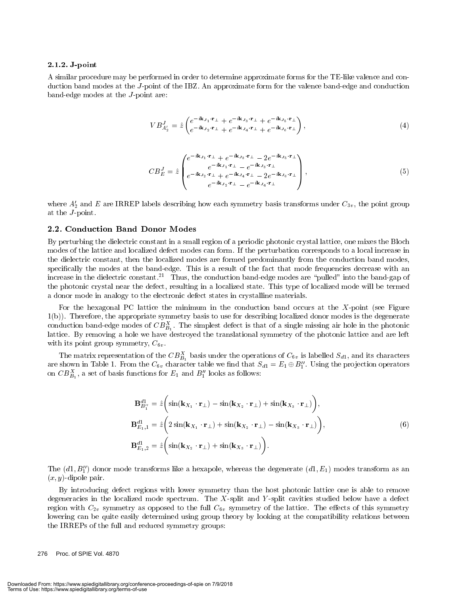#### 2.1.2. J-point

A similar procedure may be performed in order to determine approximate forms for the TE-like valence and conduction band modes at the J-point of the IBZ. An approximate form for the valence band-edge and conduction band-edge modes at the J-point are:

$$
VB_{A'_{2}}^{J} = \hat{z} \begin{pmatrix} e^{-i\mathbf{k}_{J_{1}} \cdot \mathbf{r}_{\perp}} + e^{-i\mathbf{k}_{J_{3}} \cdot \mathbf{r}_{\perp}} + e^{-i\mathbf{k}_{J_{5}} \cdot \mathbf{r}_{\perp}} \\ e^{-i\mathbf{k}_{J_{2}} \cdot \mathbf{r}_{\perp}} + e^{-i\mathbf{k}_{J_{4}} \cdot \mathbf{r}_{\perp}} + e^{-i\mathbf{k}_{J_{6}} \cdot \mathbf{r}_{\perp}} \end{pmatrix}, \tag{4}
$$

$$
CB_E^J = \hat{z} \begin{pmatrix} e^{-i\mathbf{k}_{J_1} \cdot \mathbf{r}_{\perp}} + e^{-i\mathbf{k}_{J_3} \cdot \mathbf{r}_{\perp}} - 2e^{-i\mathbf{k}_{J_5} \cdot \mathbf{r}_{\perp}} \\ e^{-i\mathbf{k}_{J_1} \cdot \mathbf{r}_{\perp}} - e^{-i\mathbf{k}_{J_3} \cdot \mathbf{r}_{\perp}} \\ e^{-i\mathbf{k}_{J_2} \cdot \mathbf{r}_{\perp}} + e^{-i\mathbf{k}_{J_4} \cdot \mathbf{r}_{\perp}} - 2e^{-i\mathbf{k}_{J_6} \cdot \mathbf{r}_{\perp}} \\ e^{-i\mathbf{k}_{J_2} \cdot \mathbf{r}_{\perp}} - e^{-i\mathbf{k}_{J_4} \cdot \mathbf{r}_{\perp}} \end{pmatrix},
$$
\n
$$
(5)
$$

where  $A_2'$  and E are IRREP labels describing how each symmetry basis transforms under  $C_{3v}$ , the point group at the *J*-point.

#### 2.2. Conduction Band Donor Modes

By perturbing the dielectric constant in a small region of a periodic photonic crystal lattice, one mixes the Bloch modes of the lattice and localized defect modes can form. If the perturbation corresponds to a local increase in the dielectric constant, then the localized modes are formed predominantly from the conduction band modes, specically the modes at the band-edge. This is a result of the fact that mode frequencies decrease with an increase in the dielectric constant.<sup>21</sup> Thus, the conduction band-edge modes are "pulled" into the band-gap of the photonic crystal near the defect, resulting in a localized state. This type of localized mode will be termed a donor mode in analogy to the electronic defect states in crystalline materials.

For the hexagonal PC lattice the minimum in the conduction band occurs at the X-point (see Figure 1(b)). Therefore, the appropriate symmetry basis to use for describing localized donor modes is the degenerate conduction band-edge modes of  $\mathcal{CD}_{B_1}$ . The simplest defect is that of a single missing air note in the photonic lattice. By removing a hole we have destroyed the translational symmetry of the photonic lattice and are left with its point group symmetry,  $C_{6v}$ .

The matrix representation of the  $\overline{DB}_1$  basis under the operations of  $C_{6v}$  is labelled  $\overline{S}_{d1}$ , and its characters are shown in Table 1. From the  $C_{6v}$  character table we find that  $S_{d1} = E_1 \oplus B''_1$ . Using the projection operators on  $\overline{CD}_{B_1}$ , a set of basis functions for  $E_1$  and  $D_1$  looks as follows:

$$
\mathbf{B}_{B'_{1}}^{d1} = \hat{z} \left( \sin(\mathbf{k}_{X_{1}} \cdot \mathbf{r}_{\perp}) - \sin(\mathbf{k}_{X_{2}} \cdot \mathbf{r}_{\perp}) + \sin(\mathbf{k}_{X_{3}} \cdot \mathbf{r}_{\perp}) \right),
$$
  
\n
$$
\mathbf{B}_{E_{1},1}^{d1} = \hat{z} \left( 2 \sin(\mathbf{k}_{X_{1}} \cdot \mathbf{r}_{\perp}) + \sin(\mathbf{k}_{X_{2}} \cdot \mathbf{r}_{\perp}) - \sin(\mathbf{k}_{X_{3}} \cdot \mathbf{r}_{\perp}) \right),
$$
  
\n
$$
\mathbf{B}_{E_{1},2}^{d1} = \hat{z} \left( \sin(\mathbf{k}_{X_{2}} \cdot \mathbf{r}_{\perp}) + \sin(\mathbf{k}_{X_{3}} \cdot \mathbf{r}_{\perp}) \right).
$$
\n(6)

The  $(d_1, B_1)$  donor mode transforms like a hexapole, whereas the degenerate  $(d_1, E_1)$  modes transform as an  $(x, y)$ -dipole pair.

By introducing defect regions with lower symmetry than the host photonic lattice one is able to remove degeneracies in the localized mode spectrum. The X-split and Y -split cavities studied below have a defect region with  $C_{2v}$  symmetry as opposed to the full  $C_{6v}$  symmetry of the lattice. The effects of this symmetry lowering can be quite easily determined using group theory by looking at the compatibility relations between the IRREPs of the full and reduced symmetry groups:

276 Proc. of SPIE Vol. 4870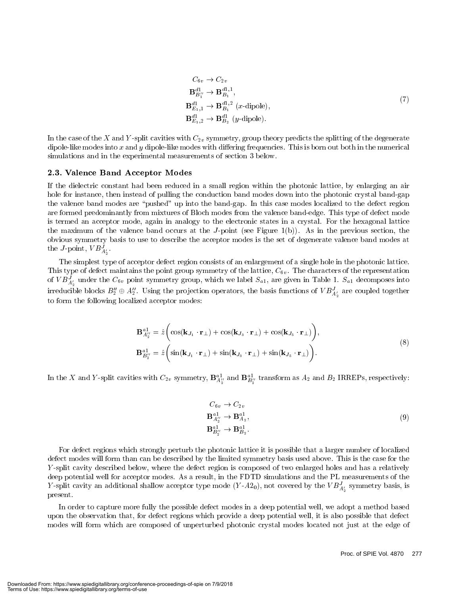$$
C_{6v} \rightarrow C_{2v}
$$
  
\n
$$
\mathbf{B}_{B'_{1}}^{d1} \rightarrow \mathbf{B}_{B_{1}}^{d1,1},
$$
  
\n
$$
\mathbf{B}_{E_{1,1}}^{d1} \rightarrow \mathbf{B}_{B_{1}}^{d1,2} \text{ (x-dipole)},
$$
  
\n
$$
\mathbf{B}_{E_{1,2}}^{d1} \rightarrow \mathbf{B}_{B_{2}}^{d1} \text{ (y-dipole)}.
$$
\n(7)

In the case of the X and Y-split cavities with  $C_{2v}$  symmetry, group theory predicts the splitting of the degenerate dipole-like modes into x and y dipole-like modes with differing frequencies. This is born out both in the numerical simulations and in the experimental measurements of section 3 below.

#### 2.3. Valence Band Acceptor Modes

If the dielectric constant had been reduced in a small region within the photonic lattice, by enlarging an air hole for instance, then instead of pulling the conduction band modes down into the photonic crystal band-gap the valence band modes are \pushed" up into the band-gap. In this case modes localized to the defect region are formed predominantly from mixtures of Bloch modes from the valence band-edge. This type of defect mode is termed an acceptor mode, again in analogy to the electronic states in a crystal. For the hexagonal lattice the maximum of the valence band occurs at the J-point (see Figure  $1(b)$ ). As in the previous section, the obvious symmetry basis to use to describe the acceptor modes is the set of degenerate valence band modes at the J-point,  $V D_{A'_2}$ .

The simplest type of acceptor defect region consists of an enlargement of a single hole in the photonic lattice. This type of defect maintains the point group symmetry of the lattice,  $C_{6v}$ . The characters of the representation of V  $B_{A_2'}$  under the C<sub>6v</sub> point symmetry group, which we label  $S_{a1}$ , are given in Table 1.  $S_{a1}$  decomposes into irreducible blocks  $B_2''\oplus A_2''$ . Using the projection operators, the basis functions of  $VB^{\prime}_{A_2'}$  are coupled together to form the following localized acceptor modes:

$$
\mathbf{B}_{A_2^{\prime\prime}}^{a_1} = \hat{z} \bigg( \cos(\mathbf{k}_{J_1} \cdot \mathbf{r}_\perp) + \cos(\mathbf{k}_{J_3} \cdot \mathbf{r}_\perp) + \cos(\mathbf{k}_{J_5} \cdot \mathbf{r}_\perp) \bigg),
$$
  
\n
$$
\mathbf{B}_{B_2^{\prime\prime}}^{a_1} = \hat{z} \bigg( \sin(\mathbf{k}_{J_1} \cdot \mathbf{r}_\perp) + \sin(\mathbf{k}_{J_3} \cdot \mathbf{r}_\perp) + \sin(\mathbf{k}_{J_5} \cdot \mathbf{r}_\perp) \bigg).
$$
\n(8)

In the  $X$  and  $Y$  -split cavities with  $C_{2v}$  symmetry,  $\mathbf{B}_{A_2^{\prime\prime}}$  and  $\mathbf{B}_{B_2^{\prime\prime}}$  transform as  $A_2$  and  $B_2$  IRREPs, respectively:

$$
C_{6v} \rightarrow C_{2v}
$$
  
\n
$$
\mathbf{B}_{A'_{2}}^{a1} \rightarrow \mathbf{B}_{A_{2}}^{a1},
$$
  
\n
$$
\mathbf{B}_{B'_{2}}^{a1} \rightarrow \mathbf{B}_{B_{2}}^{a1}.
$$
  
\n(9)

For defect regions which strongly perturb the photonic lattice it is possible that a larger number of localized defect modes will form than can be described by the limited symmetry basis used above. This is the case for the Y -split cavity described below, where the defect region is composed of two enlarged holes and has a relatively deep potential well for acceptor modes. As a result, in the FDTD simulations and the PL measurements of the *I* -split cavity an additional shallow acceptor type mode  $(Y$  -A20), not covered by the V  $B_{A'_2}$  symmetry basis, is present.

In order to capture more fully the possible defect modes in a deep potential well, we adopt a method based upon the observation that, for defect regions which provide a deep potential well, it is also possible that defect modes will form which are composed of unperturbed photonic crystal modes located not just at the edge of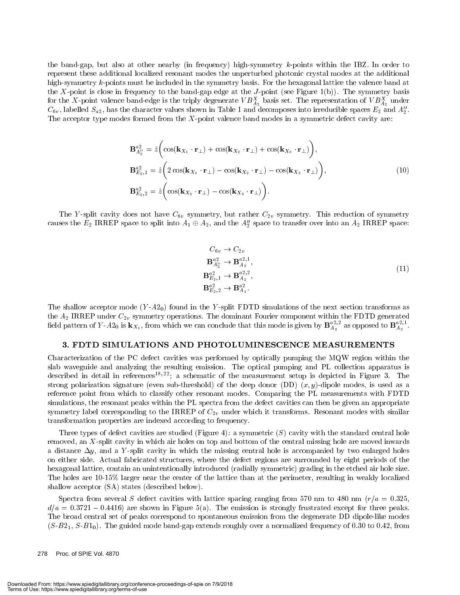the band-gap, but also at other nearby (in frequency) high-symmetry k-points within the IBZ. In order to represent these additional localized resonant modes the unperturbed photonic crystal modes at the additional high-symmetry k-points must be included in the symmetry basis. For the hexagonal lattice the valence band at the X-point is close in frequency to the band-gap edge at the J-point (see Figure 1(b)). The symmetry basis for the  $X$ -point valence band-edge is the triply degenerate V  $B_{A_2}$  basis set. The representation of V  $B_{A_2}$  under  $\rm{C_{6v},}$  fabelled  $\rm{S_{a2},}$  has the character values shown in Table 1 and decomposes into irreducible spaces  $E_2$  and  $A_2$  . The acceptor type modes formed from the  $X$ -point valence band modes in a symmetric defect cavity are:

$$
\mathbf{B}_{A'_{2}}^{a2} = \hat{z} \left( \cos(\mathbf{k}_{X_{1}} \cdot \mathbf{r}_{\perp}) + \cos(\mathbf{k}_{X_{2}} \cdot \mathbf{r}_{\perp}) + \cos(\mathbf{k}_{X_{3}} \cdot \mathbf{r}_{\perp}) \right),
$$
  
\n
$$
\mathbf{B}_{E_{2},1}^{a2} = \hat{z} \left( 2 \cos(\mathbf{k}_{X_{1}} \cdot \mathbf{r}_{\perp}) - \cos(\mathbf{k}_{X_{2}} \cdot \mathbf{r}_{\perp}) - \cos(\mathbf{k}_{X_{3}} \cdot \mathbf{r}_{\perp}) \right),
$$
  
\n
$$
\mathbf{B}_{E_{2},2}^{a2} = \hat{z} \left( \cos(\mathbf{k}_{X_{2}} \cdot \mathbf{r}_{\perp}) - \cos(\mathbf{k}_{X_{3}} \cdot \mathbf{r}_{\perp}) \right).
$$
\n(10)

The Y-split cavity does not have  $C_{6v}$  symmetry, but rather  $C_{2v}$  symmetry. This reduction of symmetry causes the  $E_2$  IRREP space to split into  $A_1 \oplus A_2$ , and the  $A_2$ <sup>'</sup> space to transfer over into an  $A_2$  IRREP space:

$$
C_{6v} \to C_{2v}
$$
  
\n
$$
\mathbf{B}_{A'_{2}}^{a} \to \mathbf{B}_{A_{2}}^{a2,1},
$$
  
\n
$$
\mathbf{B}_{E_{2},1}^{a2} \to \mathbf{B}_{A_{2}}^{a2,2},
$$
  
\n
$$
\mathbf{B}_{E_{2},2}^{a2} \to \mathbf{B}_{A_{1}}^{a2}.
$$
  
\n(11)

The shallow acceptor mode  $(Y-A2_0)$  found in the Y-split FDTD simulations of the next section transforms as field pattern of Y-A2<sub>0</sub> is  $\mathbf{k}_{X_1}$ , from which we can conclude that this mode is given by  $\mathbf{B}_{A_2}^{a2,2}$  as opposed to  $\mathbf{B}_{A_2}^{a2,1}$ .

#### 3. FDTD SIMULATIONS AND PHOTOLUMINESCENCE MEASUREMENTS

Characterization of the PC defect cavities was performed by optically pumping the MQW region within the slab waveguide and analyzing the resulting emission. The optical pumping and PL collection apparatus is described in detail in references<sup>18,22</sup>; a schematic of the measurement setup is depicted in Figure 3. The strong polarization signature (even sub-threshold) of the deep donor (DD)  $(x, y)$ -dipole modes, is used as a reference point from which to classify other resonant modes. Comparing the PL measurements with FDTD simulations, the resonant peaks within the PL spectra from the defect cavities can then be given an appropriate symmetry label corresponding to the IRREP of  $C_{2v}$  under which it transforms. Resonant modes with similar transformation properties are indexed according to frequency.

Three types of defect cavities are studied (Figure 4): a symmetric  $(S)$  cavity with the standard central hole removed, an X-split cavity in which air holes on top and bottom of the central missing hole are moved inwards a distance  $\Delta y$ , and a Y-split cavity in which the missing central hole is accompanied by two enlarged holes on either side. Actual fabricated structures, where the defect regions are surrounded by eight periods of the hexagonal lattice, contain an unintentionally introduced (radially symmetric) grading in the etched air hole size. The holes are 10-15% larger near the center of the lattice than at the perimeter, resulting in weakly localized shallow acceptor (SA) states (described below).

Spectra from several S defect cavities with lattice spacing ranging from 570 nm to 480 nm ( $r/a = 0.325$ ,  $d/a = 0.3721 - 0.4416$  are shown in Figure 5(a). The emission is strongly frustrated except for three peaks. The broad central set of peaks correspond to spontaneous emission from the degenerate DD dipole-like modes  $(S-B2<sub>1</sub>, S-B1<sub>0</sub>)$ . The guided mode band-gap extends roughly over a normalized frequency of 0.30 to 0.42, from

278 Proc. of SPIE Vol. 4870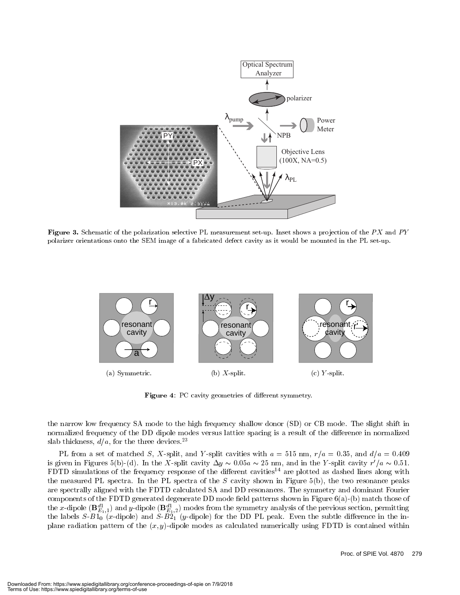

 $\bf r$  igure  $\bf o$ . Schematic of the polarization selective FL measurement set-up. Inset shows a projection of the P  $\Lambda$  and P  $\bf r$ polarizer orientations onto the SEM image of a fabricated defect cavity as it would be mounted in the PL set-up.



Figure 4: PC cavity geometries of different symmetry.

the narrow low frequency SA mode to the high frequency shallow donor (SD) or CB mode. The slight shift in normalized frequency of the DD dipole modes versus lattice spacing is a result of the difference in normalized slab thickness,  $d/a$ , for the three devices.<sup>23</sup>

PL from a set of matched S, X-split, and Y-split cavities with  $a = 515$  nm,  $r/a = 0.35$ , and  $d/a = 0.409$ is given in Figures 5(b)-(d). In the A-split cavity  $\Delta y \sim 0.05a \sim$  z5 nm, and in the Y-split cavity r  $/a \sim 0.51$ . FDTD simulations of the frequency response of the different cavities<sup>14</sup> are plotted as dashed lines along with the measured PL spectra. In the PL spectra of the  $S$  cavity shown in Figure 5(b), the two resonance peaks are spectrally aligned with the FDTD calculated SA and DD resonances. The symmetry and dominant Fourier components of the FDTD generated degenerate DD mode field patterns shown in Figure  $6(a)$ -(b) match those of the x-dipole ( ${\bf b}_{E_1,1}$ ) and y-dipole ( ${\bf b}_{E_1,2}$ ) modes from the symmetry analysis of the previous section, permitting the labels  $S-B1<sub>0</sub>$  (x-dipole) and  $S-B2<sub>1</sub>$  (y-dipole) for the DD PL peak. Even the subtle difference in the inplane radiation pattern of the  $(x, y)$ -dipole modes as calculated numerically using FDTD is contained within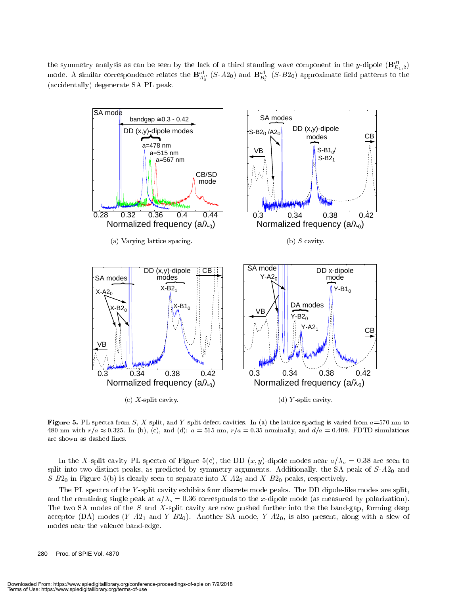the symmetry analysis as can be seen by the lack of a third standing wave component in the y-dipole ( ${\bf D}^{\rm cr}_{E_1,2}$ ) mode. A similar correspondence relates the  $\mathbf{D}_{A_2^{\prime\prime}}^{-1}$  (S-A2<sub>0</sub>) and  $\mathbf{D}_{B_2^{\prime\prime}}^{-1}$  (S-D2<sub>0</sub>) approximate held patterns to the (accidentally) degenerate SA PL peak.



**FIGURE 5.** PL spectra from S, A-spill, and Y-spill defect cavities. In (a) the lattice spacing is varied from  $u=570$  nm to  $400$  nm with  $t/a \approx 0.325$ . In (b), (c), and (d):  $a = 0.15$  nm,  $t/a = 0.39$  nominally, and  $a/a = 0.409$ . FDTD simulations are shown as dashed lines.

In the X-split cavity PL spectra of Figure 5(c), the DD  $(x, y)$ -dipole modes near  $a/\lambda_o = 0.38$  are seen to split into two distinct peaks, as predicted by symmetry arguments. Additionally, the SA peak of  $S-A2_0$  and  $S-B2<sub>0</sub>$  in Figure 5(b) is clearly seen to separate into  $X-A2<sub>0</sub>$  and  $X-B2<sub>0</sub>$  peaks, respectively.

The PL spectra of the Y -split cavity exhibits four discrete mode peaks. The DD dipole-like modes are split, and the remaining single peak at  $a/\lambda_{\text{o}} = 0.36$  corresponds to the x-dipole mode (as measured by polarization). The two SA modes of the S and X-split cavity are now pushed further into the the band-gap, forming deep acceptor (DA) modes  $(Y - A2<sub>1</sub>$  and  $Y - B2<sub>0</sub>)$ . Another SA mode,  $Y - A2<sub>0</sub>$ , is also present, along with a slew of modes near the valence band-edge.

280 Proc. of SPIE Vol. 4870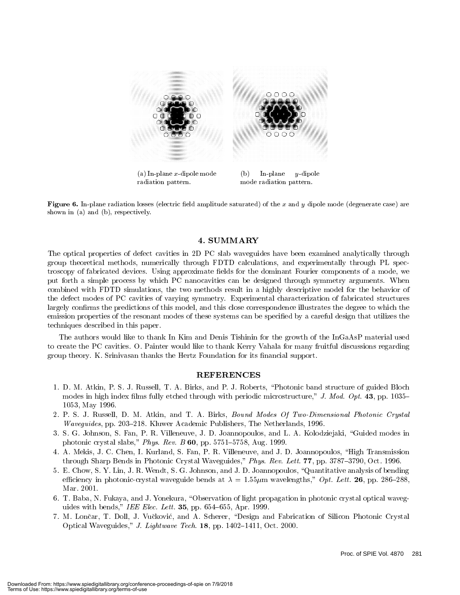

 $(a)$  In-plane x-dipole mode radiation pattern. $\sim$  In-plane <sup>y</sup>-dipole mode radiation pattern.

 ${\bf r}$  reure  ${\bf v}$ . In-plane radiation losses (electric held amplitude saturated) of the  $x$  and  $y$  dipole mode (degenerate case) are shown in (a) and (b), respectively.

The optical properties of defect cavities in 2D PC slab waveguides have been examined analytically through group theoretical methods, numerically through FDTD calculations, and experimentally through PL spectroscopy of fabricated devices. Using approximate fields for the dominant Fourier components of a mode, we put forth a simple process by which PC nanocavities can be designed through symmetry arguments. When combined with FDTD simulations, the two methods result in a highly descriptive model for the behavior of the defect modes of PC cavities of varying symmetry. Experimental characterization of fabricated structures largely confirms the predictions of this model, and this close correspondence illustrates the degree to which the emission properties of the resonant modes of these systems can be specied by a careful design that utilizes the techniques described in this paper.

The authors would like to thank In Kim and Denis Tishinin for the growth of the InGaAsP material used to create the PC cavities. O. Painter would like to thank Kerry Vahala for many fruitful discussions regarding group theory. K. Srinivasan thanks the Hertz Foundation for its financial support.

#### **REFERENCES**

- 1. D. M. Atkin, P. S. J. Russell, T. A. Birks, and P. J. Roberts, \Photonic band structure of guided Bloch modes in high index films fully etched through with periodic microstructure," J. Mod. Opt. 43, pp. 1035– 1053, May 1996.
- 2. P. S. J. Russell, D. M. Atkin, and T. A. Birks, Bound Modes Of Two-Dimensional Photonic Crystal *Waveguides*, pp. 203–218. Kluwer Academic Publishers, The Netherlands, 1996.
- 3. S. G. Johnson, S. Fan, P. R. Villeneuve, J. D. Joannopoulos, and L. A. Kolodziejaki, "Guided modes in photonic crystal slabs," Phys. Rev. B  $60$ , pp. 5751-5758, Aug. 1999.
- 4. A. Mekis, J. C. Chen, I. Kurland, S. Fan, P. R. Villeneuve, and J. D. Joannopoulos, "High Transmission through Sharp Bends in Photonic Crystal Waveguides," Phys. Rev. Lett. 77, pp. 3787-3790, Oct. 1996.
- 5. E. Chow, S. Y. Lin, J. R. Wendt, S. G. Johnson, and J. D. Joannopoulos, \Quantitative analysis of bending efficiency in photonic-crystal waveguide bends at  $\lambda = 1.55 \mu m$  wavelengths," Opt. Lett. 26, pp. 286–288, Mar. 2001.
- 6. T. Baba, N. Fukaya, and J. Yonekura, "Observation of light propagation in photonic crystal optical waveguides with bends," IEE Elec. Lett.  $35$ , pp.  $654-655$ , Apr. 1999.
- 7. M. Lončar, T. Doll, J. Vučković, and A. Scherer, "Design and Fabrication of Silicon Photonic Crystal Optical Waveguides," J. Lightwave Tech. 18, pp. 1402-1411, Oct. 2000.